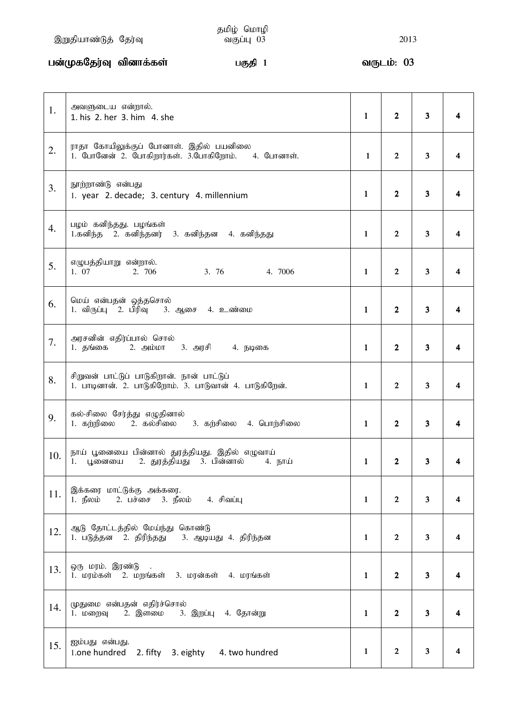## gd;KfNju;T tpdhf;fs; gFjp 1 tUlk;: 03 03 03

| 1.  | அவளுடைய என்றால்.<br>1. his 2. her 3. him 4. she                                                      | $\mathbf{1}$ | $\overline{2}$ | $\overline{\mathbf{3}}$ | 4 |
|-----|------------------------------------------------------------------------------------------------------|--------------|----------------|-------------------------|---|
| 2.  | ராதா கோயிலுக்குப் போனாள். இதில் பயனிலை<br>1. போனேன் 2. போகிறார்கள். 3.போகிறோம். 4. போனாள்.           | $\mathbf{1}$ | $\overline{2}$ | $\mathbf{3}$            |   |
| 3.  | நூற்றாண்டு என்பது<br>1. year 2. decade; 3. century 4. millennium                                     | 1            | $\overline{2}$ | 3 <sup>1</sup>          |   |
| 4.  | பழம் கனிந்தது. பழங்கள்<br>1.கனிந்த 2. கனிந்தனர் 3. கனிந்தன 4. கனிந்தது                               | $\mathbf{1}$ | $\mathbf{2}$   | $\overline{3}$          |   |
| 5.  | எழுபத்தியாறு என்றால்.<br>1. 07<br>2. 706<br>3.76<br>4. 7006                                          | $\mathbf{1}$ | $\overline{2}$ | 3 <sup>1</sup>          | 4 |
| 6.  | மெய் என்பதன் ஒத்தசொல்<br>1. விருப்பு 2. பிரிவு 3. ஆசை 4. உண்மை                                       | $\mathbf{1}$ | $\mathbf{2}$   | $\overline{\mathbf{3}}$ | 4 |
| 7.  | அரசனின் எதிர்ப்பால் சொல்<br>1. தங்கை 2. அம்மா 3. அரசி 4. நடிகை                                       | $\mathbf{1}$ | $\overline{2}$ | 3 <sup>1</sup>          |   |
| 8.  | சிறுவன் பாட்டுப் பாடுகிறான். நான் பாட்டுப்<br>1. பாடினான். 2. பாடுகிறோம். 3. பாடுவான் 4. பாடுகிறேன். | $\mathbf{1}$ | $\overline{2}$ | 3                       | 4 |
| 9.  | கல்-சிலை சேர்த்து எழுதினால்<br>1. கற்றிலை      2.  கல்சிலை<br>3. கற்சிலை 4. பொற்சிலை                 | $\mathbf{1}$ | $\overline{2}$ | 3 <sup>1</sup>          | 4 |
| 10. | நாய் பூனையை பின்னால் துரத்தியது. இதில் எழுவாய்<br>1. பூனையை 2. துரத்தியது 3. பின்னால்     4. நாய்    | 1            | 2              |                         |   |
| 11. | இக்கரை மாட்டுக்கு அக்கரை.<br>1. $\mathbb{F}$ லம் 2. பச்சை 3. $\mathbb{F}$ லம் 4. சிவப்பு             | 1            | $\mathbf{2}$   | $\mathbf{3}$            |   |
| 12. | ஆடு தோட்டத்தில் மேய்ந்து கொண்டு<br>1. படுத்தன 2. திரிந்தது 3. ஆடியது 4. திரிந்தன                     | $\mathbf{1}$ | $\mathbf{2}$   | $\mathbf{3}$            |   |
| 13. | ஒரு மரம். இரண்டு<br>1. மரம்கள் 2. மறங்கள் 3. மரன்கள் 4. மரங்கள்                                      | $\mathbf{1}$ | $\mathbf{2}$   | $\overline{\mathbf{3}}$ |   |
| 14. | முதுமை என்பதன் எதிர்ச்சொல்<br>1. மறைவு 2. இளமை 3. இறப்பு 4. தோன்று                                   | 1            | $\mathbf{2}$   | $\overline{\mathbf{3}}$ |   |
| 15. | ஐம்பது என்பது.<br>1.one hundred 2. fifty 3. eighty 4. two hundred                                    | 1            | $\overline{2}$ | 3                       | 4 |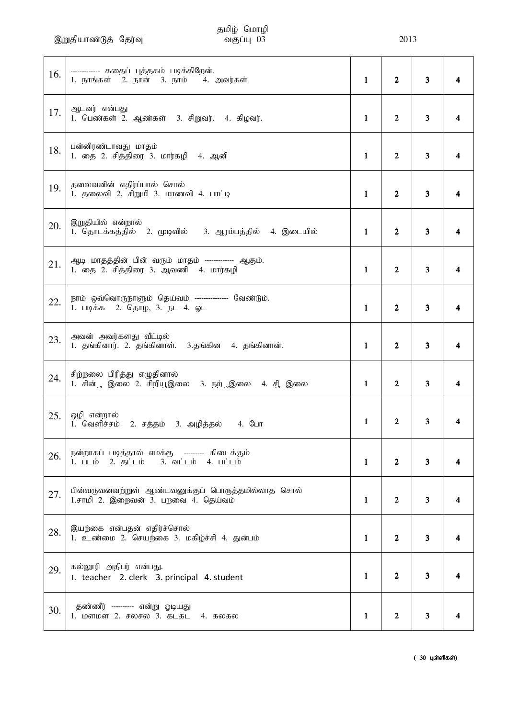இறுதியாண்டுத் தேர்வு  $\overline{\text{m}}$ வகுப்பு $\overline{\text{m}}$  (3)  $\overline{\text{m}}$  2013

# தமிழ் மொழி<br>வகுப்பு 03

| 16. | ------------ கதைப் புத்தகம் படிக்கிறேன்.<br>1. நாங்கள் 2. நான் 3. நாம் 4. அவர்கள்                                                   | 1            | $\overline{2}$ | $\mathbf{3}$            |   |
|-----|-------------------------------------------------------------------------------------------------------------------------------------|--------------|----------------|-------------------------|---|
| 17. | ஆடவர் என்பது<br>1. பெண்கள் 2. ஆண்கள் 3. சிறுவர். 4. கிழவர்.                                                                         | 1            | $\mathbf{2}$   | 3                       | 4 |
| 18. | பன்னிரண்டாவது மாதம்<br>1. தை 2. சித்திரை 3. மார்கழி 4. ஆனி                                                                          | 1            | $\overline{2}$ | $\mathbf{3}$            | 4 |
| 19. | தலைவனின் எதிர்ப்பால் சொல்<br>1. தலைவி 2. சிறுமி 3. மாணவி 4. பாட்டி                                                                  | 1            | $\overline{2}$ | 3 <sup>1</sup>          |   |
| 20. | இறுதியில் என்றால்<br>1. தொடக்கத்தில் 2. முடிவில் 3. ஆரம்பத்தில் 4. இடையில்                                                          | $\mathbf{1}$ | $\overline{2}$ | 3                       | 4 |
| 21. | ஆடி மாதத்தின் பின் வரும் மாதம் ------------- ஆகும்.<br>1. தை 2. சித்திரை 3. ஆவணி 4. மார்கழி                                         | 1            | $\overline{2}$ | $\mathbf{3}$            | 4 |
| 22. | நாம் ஒவ்வொருநாளும் தெய்வம் --------------- வேண்டும்.<br>1. படிக்க 2. தொழ, 3. நட 4. ஓட                                               | 1            | $\overline{2}$ | $\mathbf{3}$            | 4 |
| 23. | அவன் அவர்களது வீட்டில்<br>1. தங்கினார். 2. தங்கினாள். 3.தங்கின 4. தங்கினான்.                                                        | 1            | $\overline{2}$ | 3 <sup>1</sup>          |   |
| 24. | சிற்றலை பிரித்து எழுதினால்<br>1. சின் , இலை 2. சிறியூஇலை 3. நற் இலை 4. சி இலை                                                       | 1            | $\overline{2}$ | 3 <sup>1</sup>          | 4 |
| 25. | ஒழி என்றால்<br>1. வெளிச்சம்<br>்2. சத்தம் 3. அழித்தல்   4. போ                                                                       | 1            | $\overline{2}$ | $\overline{\mathbf{3}}$ |   |
| 26. | நன்றாகப் படித்தால் எமக்கு --------- கிடைக்கும்<br>1. படம் 2. தட்டம்<br>$3.$ $\omega$ i $\omega$ $4.$ $\omega$ i $\omega$ i $\omega$ | $\mathbf{1}$ | $\mathbf{2}$   | $\overline{\mathbf{3}}$ |   |
| 27. | பின்வருவனவற்றுள் ஆண்டவனுக்குப் பொருத்தமில்லாத சொல்<br>1.சாமி 2. இறைவன் 3. பறவை 4. தெய்வம்                                           | 1            | $\overline{2}$ | 3                       | 4 |
| 28. | இயற்கை என்பதன் எதிர்ச்சொல்<br>1. உண்மை 2. செயற்கை 3. மகிழ்ச்சி 4. துன்பம்                                                           | 1            | $\overline{2}$ | $\overline{\mathbf{3}}$ | 4 |
| 29. | கல்லூரி அதிபர் என்பது.<br>1. teacher 2. clerk 3. principal 4. student                                                               | 1            | $\mathbf{2}$   | 3                       |   |
| 30. | தண்ணீர் --------- என்று ஓடியது<br>1. மளமள 2. சலசல 3. கடகட 4. கலகல                                                                   | 1            | $\overline{2}$ | 3                       |   |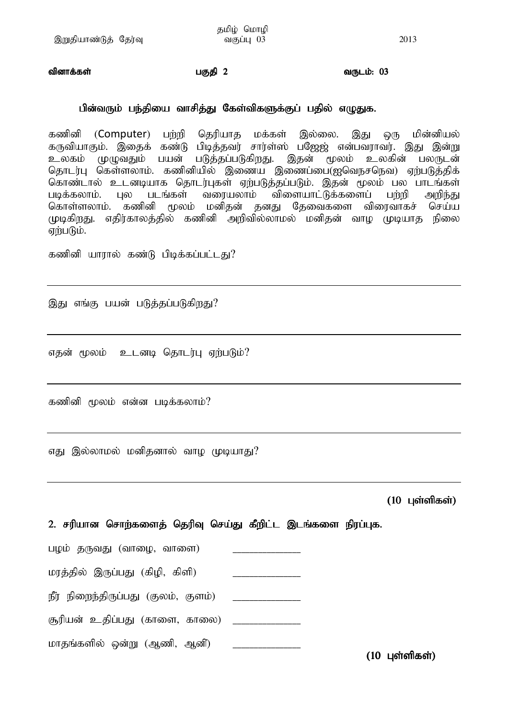வினாக்கள் $\Box$ த்தி 2 மகுதி 2 பகுதி 2 பகும்: 03

### பின்வரும் பந்தியை வாசித்து கேள்விகளுக்குப் பதில் எழுதுக.

கணினி (Computer) பற்றி தெரியாக மக்கள் இல்லை. இது ஒரு மின்னியல் கருவியாகும். இதைக் கண்டு பிடித்தவர் சார்ள்ஸ் பஜேஜ் என்பவராவர். இது இன்று உலகம் முழுவதும் பயன் படுத்தப்படுகிறது. இதன் மூலம் உலகின் பலருடன் தொடர்பு கெள்ளலாம். கணினியில் இணைய இணைப்பை(ஐவெநசநெவ) ஏற்படுத்திக் கொண்டால் உடனடியாக தொடர்புகள் ஏற்படுத்தப்படும். இதன் மூலம் பல பாடங்கள்<br>படிக்கலாம். புல படங்கள் வரையலாம் விளையாட்டுக்களைப் பற்றி அறிந்து படிக்கலாம். புல படங்கள் வரையலாம் விளையாட்டுக்களைப் பற்றி அறிந்து கொள்ளலாம். கணினி மூலம் மனிதன் தனது தேவைகளை விரைவாகச் செய்ய முடிகிறது. எதிர்காலத்தில் கணினி அறிவில்லாமல் மனிதன் வாழ முடியாத நிலை ஏற்படும்.

கணினி யாரால் கண்டு பிடிக்கப்பட்டது?

இது எங்கு பயன் படுத்தப்படுகிறது?

எதன் மூலம் உடனடி தொடர்பு ஏற்படும்?

கணினி மூலம் என்ன படிக்கலாம்?

எது இல்லாமல் மனிதனால் வாழ முடியாது?

 $(10 \;$  புள்ளிகள்)

2. சரியான சொற்களைத் தெரிவு செய்து கீறிட்ட இடங்களை நிரப்புக.

பழம் தருவது (வாழை, வாளை)

மரத்தில் இருப்பது (கிழி, கிளி)

ePu; epiwe;jpUg;gJ (Fyk;> Fsk;) \_\_\_\_\_\_\_\_\_\_\_\_\_\_\_\_

#upad; cjpg;gJ (fhis> fhiy) \_\_\_\_\_\_\_\_\_\_\_\_\_\_\_\_

மாதங்களில் ஒன்று (ஆணி, ஆனி)  $(10 \;$ புள்ளிகள்)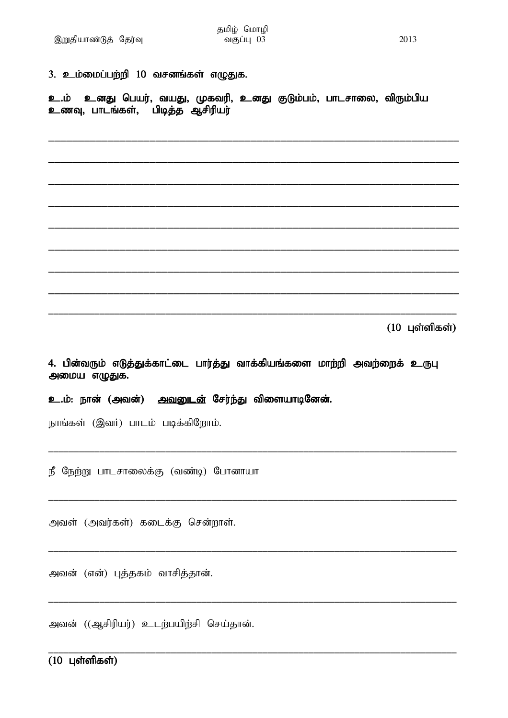| 3. உம்மைப்பற்றி 10 வசனங்கள் எழுதுக.                                                                   |
|-------------------------------------------------------------------------------------------------------|
| உ.ம் உனது பெயர், வயது, முகவரி, உனது குடும்பம், பாடசாலை, விரும்பிய<br>உணவு, பாடங்கள், பிடித்த ஆசிரியர் |
|                                                                                                       |
|                                                                                                       |
|                                                                                                       |
|                                                                                                       |
|                                                                                                       |
| $(10 \text{ L}$ ள்ளிகள்)                                                                              |
|                                                                                                       |
| 4. பின்வரும் எடுத்துக்காட்டை பார்த்து வாக்கியங்களை மாற்றி அவற்றைக் உருபு<br>அமைய எழுதுக.              |
| உ.ம்: நான் (அவன்) <u>அவனுடன்</u> சேர்ந்து விளையாடினேன்.                                               |
| நாங்கள் (இவர்) பாடம் படிக்கிறோம்.                                                                     |
| நீ நேற்று பாடசாலைக்கு (வண்டி) போனாயா                                                                  |
| அவள் (அவர்கள்) கடைக்கு சென்றாள்.                                                                      |

அவன் ((ஆசிரியர்) உடற்பயிற்சி செய்தான்.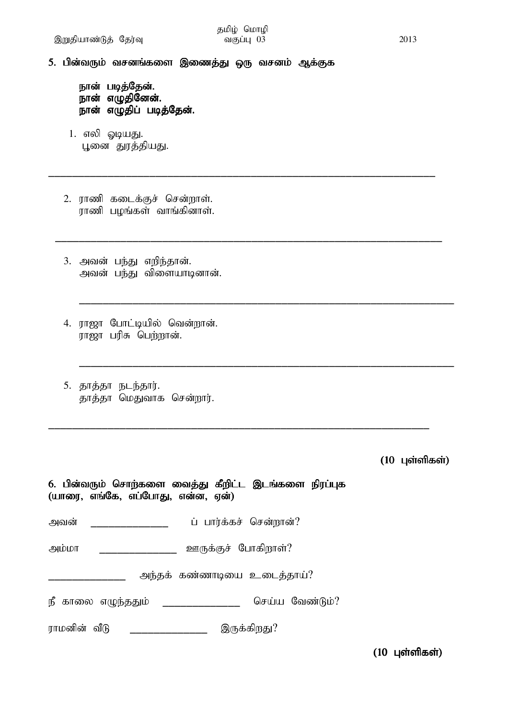\_\_\_\_\_\_\_\_\_\_\_\_\_\_\_\_\_\_\_\_\_\_\_\_\_\_\_\_\_\_\_\_\_\_\_\_\_\_\_\_\_\_\_\_\_\_\_\_\_\_\_\_\_\_\_\_\_\_\_\_\_\_\_\_\_

\_\_\_\_\_\_\_\_\_\_\_\_\_\_\_\_\_\_\_\_\_\_\_\_\_\_\_\_\_\_\_\_\_\_\_\_\_\_\_\_\_\_\_\_\_\_\_\_\_\_\_\_\_\_\_\_\_\_\_\_\_\_\_\_\_

\_\_\_\_\_\_\_\_\_\_\_\_\_\_\_\_\_\_\_\_\_\_\_\_\_\_\_\_\_\_\_\_\_\_\_\_\_\_\_\_\_\_\_\_\_\_\_\_\_\_\_\_\_\_\_\_\_\_\_\_\_\_\_

\_\_\_\_\_\_\_\_\_\_\_\_\_\_\_\_\_\_\_\_\_\_\_\_\_\_\_\_\_\_\_\_\_\_\_\_\_\_\_\_\_\_\_\_\_\_\_\_\_\_\_\_\_\_\_\_\_\_\_\_\_\_\_

\_\_\_\_\_\_\_\_\_\_\_\_\_\_\_\_\_\_\_\_\_\_\_\_\_\_\_\_\_\_\_\_\_\_\_\_\_\_\_\_\_\_\_\_\_\_\_\_\_\_\_\_\_\_\_\_\_\_\_\_\_\_\_\_

5. பின்வரும் வசனங்களை இணைத்து ஒரு வசனம் ஆக்குக

நான் படித்தேன். நான் எழுதினேன். .<br>நான் எழுதிப் படித்தேன்.

- 1. எலி ஓடியது. பூனை துரத்தியது.
- 2. ராணி கடைக்குச் சென்றாள். .<br>ராணி பழங்கள் வாங்கினாள்.
- 3. அவன் பந்து எறிந்தான். அவன் பந்து விளையாடினான்.
- 4. ராஜா போட்டியில் வென்றான். ராஜா பரிசு பெற்றான்.
- 5. தாத்தா நடந்தார். தாத்தா மெதுவாக சென்றார்.

 $(10 \text{ L}$ ள்ளிகள்)

| 6. பின்வரும் சொற்களை வைத்து கீறிட்ட இடங்களை நிரப்புக<br>(யாரை, எங்கே, எப்போது, என்ன, ஏன்) |  |
|-------------------------------------------------------------------------------------------|--|
| ப் பார்க்கச் சென்றான்?<br>அவன்                                                            |  |
| ஊருக்குச் போகிறாள்?<br>அம்மா                                                              |  |
| அந்தக் கண்ணாடியை உடைத்தாய்?                                                               |  |
| நீ காலை எழுந்ததும்<br>செய்ய வேண்டும்?                                                     |  |
| ராமனின் வீடு<br>இருக்கிறது?                                                               |  |

 $(10 \;$ புள்ளிகள்)